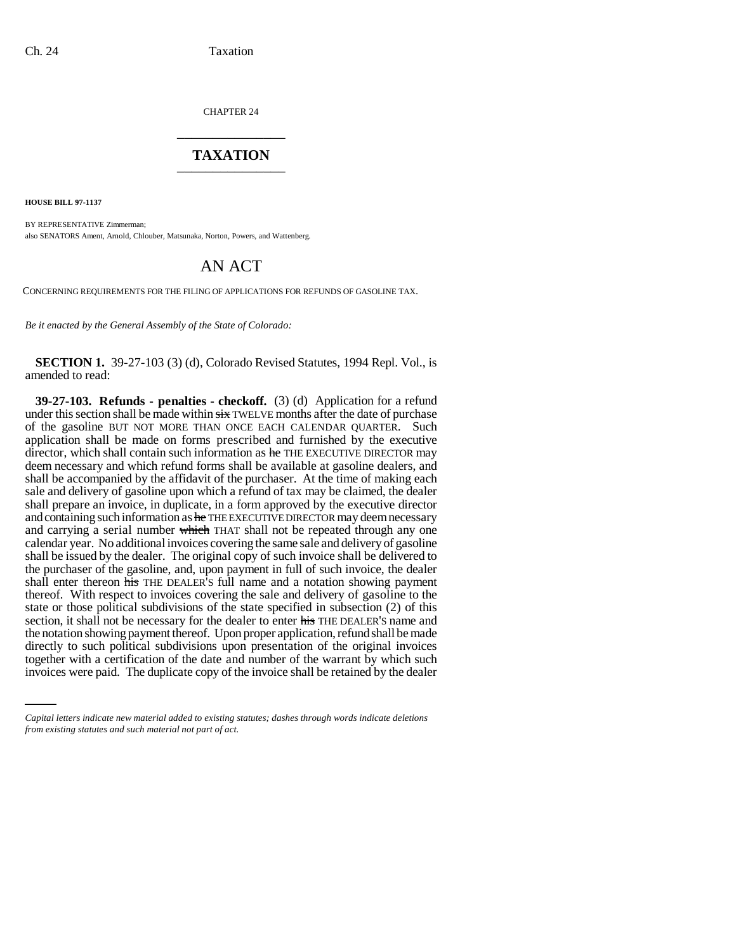CHAPTER 24 \_\_\_\_\_\_\_\_\_\_\_\_\_\_\_

## **TAXATION** \_\_\_\_\_\_\_\_\_\_\_\_\_\_\_

**HOUSE BILL 97-1137**

BY REPRESENTATIVE Zimmerman; also SENATORS Ament, Arnold, Chlouber, Matsunaka, Norton, Powers, and Wattenberg.

## AN ACT

CONCERNING REQUIREMENTS FOR THE FILING OF APPLICATIONS FOR REFUNDS OF GASOLINE TAX.

*Be it enacted by the General Assembly of the State of Colorado:*

**SECTION 1.** 39-27-103 (3) (d), Colorado Revised Statutes, 1994 Repl. Vol., is amended to read:

directly to such political subdivisions upon presentation of the original invoices **39-27-103. Refunds - penalties - checkoff.** (3) (d) Application for a refund under this section shall be made within  $\frac{1}{x}$  TWELVE months after the date of purchase of the gasoline BUT NOT MORE THAN ONCE EACH CALENDAR QUARTER. Such application shall be made on forms prescribed and furnished by the executive director, which shall contain such information as  $he$  THE EXECUTIVE DIRECTOR may deem necessary and which refund forms shall be available at gasoline dealers, and shall be accompanied by the affidavit of the purchaser. At the time of making each sale and delivery of gasoline upon which a refund of tax may be claimed, the dealer shall prepare an invoice, in duplicate, in a form approved by the executive director and containing such information as he THE EXECUTIVE DIRECTOR may deem necessary and carrying a serial number which THAT shall not be repeated through any one calendar year. No additional invoices covering the same sale and delivery of gasoline shall be issued by the dealer. The original copy of such invoice shall be delivered to the purchaser of the gasoline, and, upon payment in full of such invoice, the dealer shall enter thereon his THE DEALER's full name and a notation showing payment thereof. With respect to invoices covering the sale and delivery of gasoline to the state or those political subdivisions of the state specified in subsection (2) of this section, it shall not be necessary for the dealer to enter his THE DEALER'S name and the notation showing payment thereof. Upon proper application, refund shall be made together with a certification of the date and number of the warrant by which such invoices were paid. The duplicate copy of the invoice shall be retained by the dealer

*Capital letters indicate new material added to existing statutes; dashes through words indicate deletions from existing statutes and such material not part of act.*